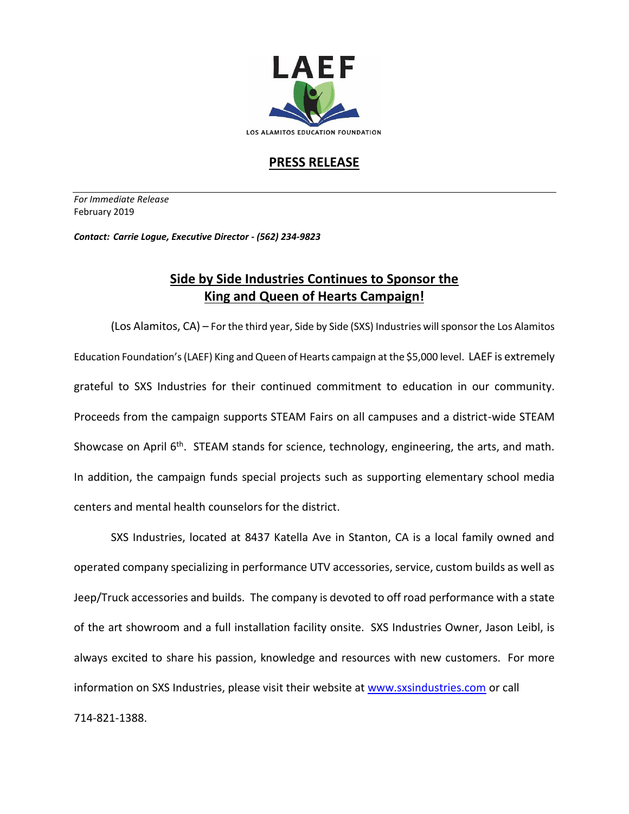

## **PRESS RELEASE**

*For Immediate Release*  February 2019

*Contact: Carrie Logue, Executive Director - (562) 234-9823*

## **Side by Side Industries Continues to Sponsor the King and Queen of Hearts Campaign!**

(Los Alamitos, CA) – For the third year, Side by Side (SXS) Industries will sponsor the Los Alamitos Education Foundation's(LAEF) King and Queen of Hearts campaign at the \$5,000 level. LAEF is extremely grateful to SXS Industries for their continued commitment to education in our community. Proceeds from the campaign supports STEAM Fairs on all campuses and a district-wide STEAM Showcase on April  $6<sup>th</sup>$ . STEAM stands for science, technology, engineering, the arts, and math. In addition, the campaign funds special projects such as supporting elementary school media centers and mental health counselors for the district.

SXS Industries, located at 8437 Katella Ave in Stanton, CA is a local family owned and operated company specializing in performance UTV accessories, service, custom builds as well as Jeep/Truck accessories and builds. The company is devoted to off road performance with a state of the art showroom and a full installation facility onsite. SXS Industries Owner, Jason Leibl, is always excited to share his passion, knowledge and resources with new customers. For more information on SXS Industries, please visit their website at [www.sxsindustries.com](http://www.sxsindustries.com/) or call 714-821-1388.